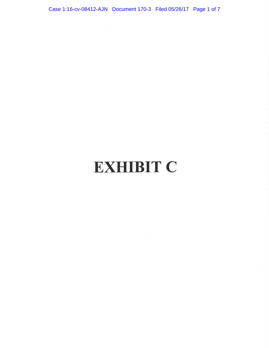Case 1:16-cv-08412-AJN Document 170-3 Filed 05/26/17 Page 1 of 7

# **EXHIBIT C**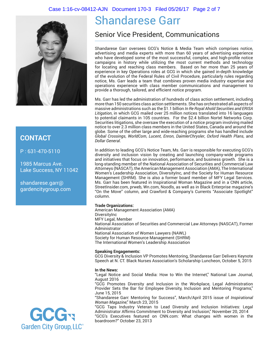#### Case 1:16-cv-08412-AJN Document 170-3 Filed 05/26/17 Page 2 of 7



### **CONTACT**

P : 631-470-5110

1985 Marcus Ave. Lake Success, NY 11042

shandarese.garr@ gardencitygroup.com



# Shandarese Garr

# Senior Vice President, Communications

Shandarese Garr oversees GCG's Notice & Media Team which comprises notice, advertising and media experts with more than 60 years of advertising experience who have developed some of the most successful, complex, and high-profile notice campaigns in history while utilizing the most current methods and technology for locating and reaching class members. Based on her more than 25 years of experience in key Operations roles at GCG in which she gained in-depth knowledge of the evolution of the Federal Rules of Civil Procedure, particularly rules regarding notice, Ms. Garr leads a team that combines proven media industry expertise and operations experience with class member communications and management to provide a thorough, tailored, and efficient notice program.

Ms. Garr has led the administration of hundreds of class action settlement, including more than 150 securities class action settlements. She has orchestrated all aspects of massive administrations such as the \$1.1 billion *In Re Royal Ahold Securities and ERISA Litigation*, in which GCG mailed over 25 million notices translated into 16 languages to potential claimants in 105 countries. For the \$2.4 billion Nortel Networks Corp. Securities litigations, she oversaw the execution of a notice program involving mailed notice to over 2.3 million class members in the United States, Canada and around the globe. Some of the other large and wide-reaching programs she has handled include *Global Crossings*, *WorldCom*, *Lucent*, *Enron*, *DaimlerChrysler*, *Oxford Health Plans*, and *Dollar General*.

In addition to leading GCG's Notice Team, Ms. Garr is responsible for executing GCG's diversity and inclusion vision by creating and launching company-wide programs and initiatives that focus on innovation, performance, and business growth. She is a long-standing member of the National Association of Securities and Commercial Law Attorneys (NASCAT), the American Management Association (AMA), The International Women's Leadership Association, DiversityInc, and the Society for Human Resource Management (SHRM). She is also a former board member of MFY Legal Services. Ms. Garr has been featured in Inspirational Woman Magazine and in a CNN article, StreetInsider.com, prweb, Wn.com, Noodls, as well as in Black Enterprise magazine's "On the Move" column, and Crawford & Company's Currents "Associate Spotlight" column.

#### **Trade Organizations:**

American Management Association (AMA) DiversityInc MFY Legal, Member National Association of Securities and Commercial Law Attorneys (NASCAT), Former Administrator National Association of Women Lawyers (NAWL) Society for Human Resource Management (SHRM) The International Women's Leadership Association

#### **Speaking Engagements:**

GCG Diversity & Inclusion VP Promotes Mentoring, Shandarese Garr Delivers Keynote Speech at N. CT. Black Nurses Association's Scholarship Luncheon, October 5, 2015

#### **In the News:**

"Legal Notice and Social Media: How to Win the Internet," National Law Journal, August 2016

"GCG Promotes Diversity and Inclusion in the Workplace, Legal Administration Provider Sets the Bar for Employee Diversity, Inclusion and Mentoring Programs," June 15, 2015

"Shandarese Garr: Mentoring for Success", March/April 2015 issue of *Inspirational Woman Magazine*," March 23, 2015

"GCG Taps Industry Veteran to Lead Diversity and Inclusion Initiatives: Legal Administrator Affirms Commitment to Diversity and Inclusion," November 20, 2014 "GCG's Executives featured on CNN.com: What changes with women in the boardroom?" October 23, 2013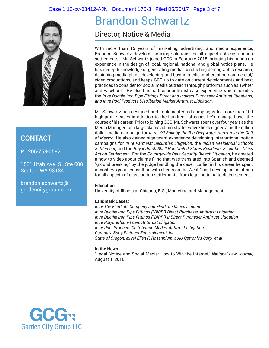#### Case 1:16-cv-08412-AJN Document 170-3 Filed 05/26/17 Page 3 of 7



## **CONTACT**

P : 206-753-0582

1531 Utah Ave. S., Ste 600 Seattle, WA 98134

brandon.schwartz@ gardencitygroup.com

# Brandon Schwartz

Director, Notice & Media

With more than 15 years of marketing, advertising, and media experience, Brandon Schwartz develops noticing solutions for all aspects of class action settlements. Mr. Schwartz joined GCG in February 2015, bringing his hands-on experience in the design of local, regional, national and global notice plans. He has in-depth knowledge of generating media, conducting demographic research, designing media plans, developing and buying media, and creating commercial/ video productions, and keeps GCG up to date on current developments and best practices to consider for social media outreach through platforms such as Twitter and Facebook. He also has particular antitrust case experience which includes the *In re Ductile Iron Pipe Fittings Direct and Indirect Purchaser Antitrust litigations, and In re Pool Products Distribution Market Antitrust Litigation*.

Mr. Schwartz has designed and implemented ad campaigns for more than 100 high-profile cases in addition to the hundreds of cases he's managed over the course of his career. Prior to joining GCG, Mr. Schwartz spent over four years as the Media Manager for a large claims administrator where he designed a multi-million dollar media campaign for *In re: Oil Spill by the Rig Deepwater Horizon in the Gulf of Mexico*. He also gained significant experience developing international notice campaigns for *In re Parmalat Securities Litigation*, the *Indian Residential Schools Settlement*, and the *Royal Dutch Shell Non-United States Residents Securities Class Action Settlement*. For the *Countrywide Data Security Breach Litigation*, he created a how-to video about claims filing that was translated into Spanish and deemed "ground breaking" by the judge handling the case. Earlier in his career he spent almost two years consulting with clients on the West Coast developing solutions for all aspects of class action settlements, from legal noticing to disbursement.

#### **Education:**

University of Illinois at Chicago, B.S., Marketing and Management

#### **Landmark Cases:**

*In re The Flintkote Company and Flintkote Mines Limited In re Ductile Iron Pipe Fittings ("DIPF") Direct Purchaser Antitrust Litigation In re Ductile Iron Pipe Fittings ("DIPF") InDirect Purchaser Antitrust Litigation In re Polyurethane Foam Antitrust Litigation In re Pool Products Distribution Market Antitrust Litigation Corona v. Sony Pictures Entertainment, Inc. State of Oregon, ex rel Ellen F. Rosenblum v. AU Optronics Corp. et al*

#### **In the News:**

"Legal Notice and Social Media: How to Win the Internet," *National Law Journal,*  August 1, 2016

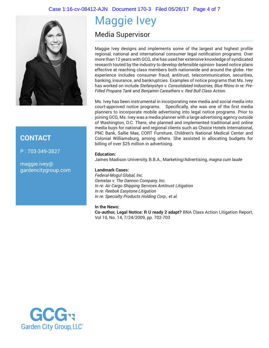#### Case 1:16-cv-08412-AJN Document 170-3 Filed 05/26/17 Page 4 of 7



### **CONTACT**

P : 703-349-3827

maggie.ivey@ gardencitygroup.com

# Maggie Ivey

# Media Supervisor

Maggie Ivey designs and implements some of the largest and highest profile regional, national and international consumer legal notification programs. Over more than 12 years with GCG, she has used her extensive knowledge of syndicated research touted by the industry to develop defensible opinion- based notice plans effective at reaching class members both nationwide and around the globe. Her experience includes consumer fraud, antitrust, telecommunication, securities, banking, insurance, and bankruptcies. Examples of notice programs that Ms. Ivey has worked on include *Stefanyshyn v. Consolidated Industries, Blue Rhino In re: Pre-Filled Propane Tank* and *Benjamin Careathers v. Red Bull Class Action*.

Ms. Ivey has been instrumental in incorporating new media and social media into court-approved notice programs. Specifically, she was one of the first media planners to incorporate mobile advertising into legal notice programs. Prior to joining GCG, Ms. Ivey was a media planner with a large advertising agency outside of Washington, D.C. There, she planned and implemented traditional and online media buys for national and regional clients such as Choice Hotels International, PNC Bank, Sallie Mae, CORT Furniture, Children's National Medical Center and Colonial Williamsburg, among others. She assisted in allocating budgets for billing of over \$25 million in advertising.

#### **Education:**

James Madison University, B.B.A., Marketing/Advertising, *magna cum laude*

#### **Landmark Cases:**

*Federal-Mogul Global, Inc. Gemelas v. The Dannon Company, Inc. In re: Air Cargo Shipping Services Antitrust Litigation In re: Reebok Easytone Litigation In re: Specialty Products Holding Corp., et al.*

#### **In the News:**

**Co-author, Legal Notice: R U ready 2 adapt?** BNA Class Action Litigation Report, Vol 10, No. 14, 7/24/2009, pp. 702-703

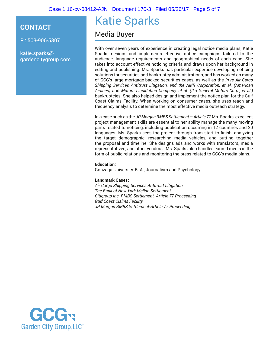### **CONTACT**

P : 503-906-5307

katie.sparks@ gardencitygroup.com

# Katie Sparks

Media Buyer

With over seven years of experience in creating legal notice media plans, Katie Sparks designs and implements effective notice campaigns tailored to the audience, language requirements and geographical needs of each case. She takes into account effective noticing criteria and draws upon her background in editing and publishing. Ms. Sparks has particular expertise developing noticing solutions for securities and bankruptcy administrations, and has worked on many of GCG's large mortgage-backed securities cases, as well as the *In re Air Cargo Shipping Services Antitrust Litigation, and the AMR Corporation, et al. (American Airlines)* and *Motors Liquidation Company, et al. (fka General Motors Corp., et al.)*  bankruptcies. She also helped design and implement the notice plan for the Gulf Coast Claims Facility. When working on consumer cases, she uses reach and frequency analysis to determine the most effective media outreach strategy.

In a case such as the *JP Morgan RMBS Settlement – Article 77* Ms. Sparks' excellent project management skills are essential to her ability manage the many moving parts related to noticing, including publication occurring in 12 countries and 20 languages. Ms. Sparks sees the project through from start to finish, analyzing the target demographic, researching media vehicles, and putting together the proposal and timeline. She designs ads and works with translators, media representatives, and other vendors. Ms. Sparks also handles earned media in the form of public relations and monitoring the press related to GCG's media plans.

#### **Education:**

Gonzaga University, B. A., Journalism and Psychology

#### **Landmark Cases:**

*Air Cargo Shipping Services Antitrust Litigation The Bank of New York Mellon Settlement Citigroup Inc. RMBS Settlement -Article 77 Proceeding Gulf Coast Claims Facility JP Morgan RMBS Settlement-Article 77 Proceeding*

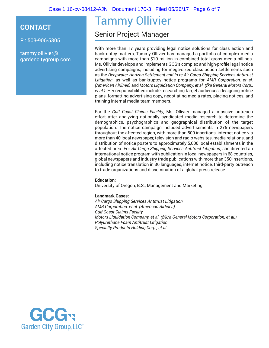Case 1:16-cv-08412-AJN Document 170-3 Filed 05/26/17 Page 6 of 7

### **CONTACT**

P : 503-906-5305

tammy.ollivier@ gardencitygroup.com

# Tammy Ollivier

# Senior Project Manager

With more than 17 years providing legal notice solutions for class action and bankruptcy matters, Tammy Ollivier has managed a portfolio of complex media campaigns with more than \$10 million in combined total gross media billings. Ms. Ollivier develops and implements GCG's complex and high-profile legal notice advertising campaigns, including for mega-sized class action settlements such as the *Deepwater Horizon Settlement and In re Air Cargo Shipping Services Antitrust Litigation*, as well as bankruptcy notice programs for *AMR Corporation, et al. (American Airlines)* and *Motors Liquidation Company, et al. (fka General Motors Corp., et al.)*. Her responsibilities include researching target audiences, designing notice plans, formatting advertising copy, negotiating media rates, placing notices, and training internal media team members.

For the *Gulf Coast Claims Facility*, Ms. Ollivier managed a massive outreach effort after analyzing nationally syndicated media research to determine the demographics, psychographics and geographical distribution of the target population. The notice campaign included advertisements in 275 newspapers throughout the affected region, with more than 500 insertions, internet notice via more than 40 local newspaper, television and radio websites, media relations, and distribution of notice posters to approximately 5,000 local establishments in the affected area. For *Air Cargo Shipping Services Antitrust Litigation*, she directed an international notice program with publication in local newspapers in 68 countries, global newspapers and industry trade publications with more than 350 insertions, including notice translation in 36 languages, internet notice, third-party outreach to trade organizations and dissemination of a global press release.

#### **Education:**

University of Oregon, B.S., Management and Marketing

#### **Landmark Cases:**

*Air Cargo Shipping Services Antitrust Litigation AMR Corporation, et al. (American Airlines) Gulf Coast Claims Facility Motors Liquidation Company, et al. (f/k/a General Motors Corporation, et al.) Polyurethane Foam Antitrust Litigation Specialty Products Holding Corp., et al.*